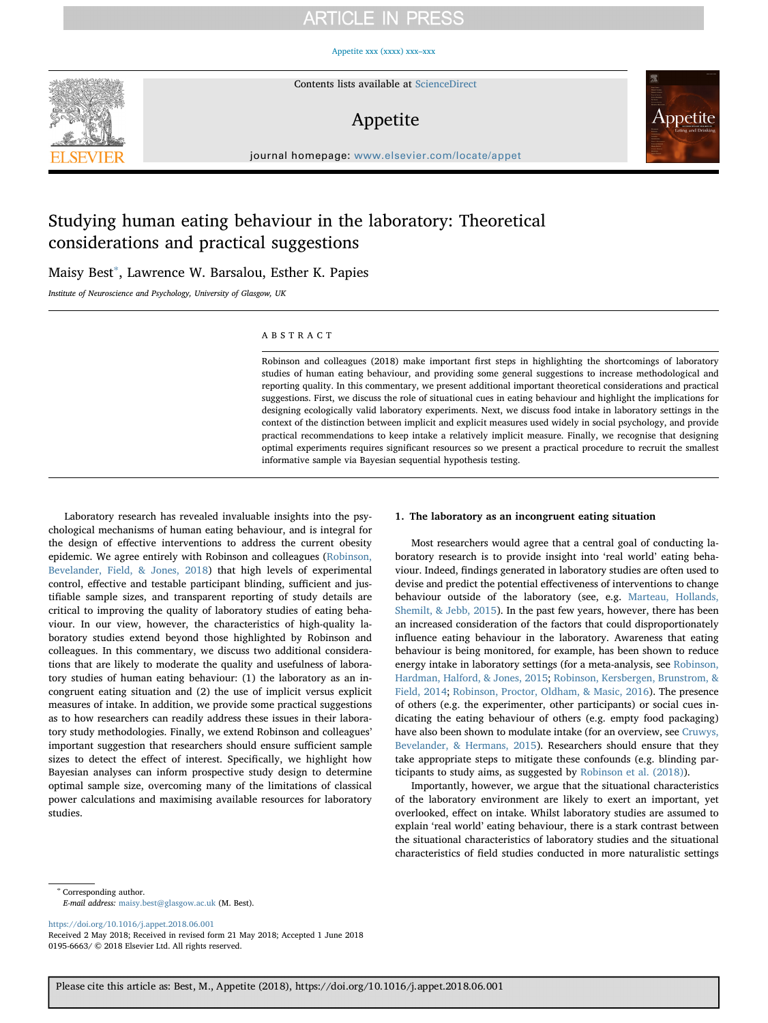## **ARTICLE IN PRESS**

[Appetite xxx \(xxxx\) xxx–xxx](https://doi.org/10.1016/j.appet.2018.06.001)



Contents lists available at [ScienceDirect](http://www.sciencedirect.com/science/journal/01956663)

## Appetite



journal homepage: [www.elsevier.com/locate/appet](https://www.elsevier.com/locate/appet)

# Studying human eating behaviour in the laboratory: Theoretical considerations and practical suggestions

## Maisy Best[∗](#page-0-0) , Lawrence W. Barsalou, Esther K. Papies

Institute of Neuroscience and Psychology, University of Glasgow, UK

### ABSTRACT

Robinson and colleagues (2018) make important first steps in highlighting the shortcomings of laboratory studies of human eating behaviour, and providing some general suggestions to increase methodological and reporting quality. In this commentary, we present additional important theoretical considerations and practical suggestions. First, we discuss the role of situational cues in eating behaviour and highlight the implications for designing ecologically valid laboratory experiments. Next, we discuss food intake in laboratory settings in the context of the distinction between implicit and explicit measures used widely in social psychology, and provide practical recommendations to keep intake a relatively implicit measure. Finally, we recognise that designing optimal experiments requires significant resources so we present a practical procedure to recruit the smallest informative sample via Bayesian sequential hypothesis testing.

Laboratory research has revealed invaluable insights into the psychological mechanisms of human eating behaviour, and is integral for the design of effective interventions to address the current obesity epidemic. We agree entirely with Robinson and colleagues ([Robinson,](#page-4-0) [Bevelander, Field, & Jones, 2018](#page-4-0)) that high levels of experimental control, effective and testable participant blinding, sufficient and justifiable sample sizes, and transparent reporting of study details are critical to improving the quality of laboratory studies of eating behaviour. In our view, however, the characteristics of high-quality laboratory studies extend beyond those highlighted by Robinson and colleagues. In this commentary, we discuss two additional considerations that are likely to moderate the quality and usefulness of laboratory studies of human eating behaviour: (1) the laboratory as an incongruent eating situation and (2) the use of implicit versus explicit measures of intake. In addition, we provide some practical suggestions as to how researchers can readily address these issues in their laboratory study methodologies. Finally, we extend Robinson and colleagues' important suggestion that researchers should ensure sufficient sample sizes to detect the effect of interest. Specifically, we highlight how Bayesian analyses can inform prospective study design to determine optimal sample size, overcoming many of the limitations of classical power calculations and maximising available resources for laboratory studies.

#### 1. The laboratory as an incongruent eating situation

Most researchers would agree that a central goal of conducting laboratory research is to provide insight into 'real world' eating behaviour. Indeed, findings generated in laboratory studies are often used to devise and predict the potential effectiveness of interventions to change behaviour outside of the laboratory (see, e.g. [Marteau, Hollands,](#page-4-1) [Shemilt, & Jebb, 2015](#page-4-1)). In the past few years, however, there has been an increased consideration of the factors that could disproportionately influence eating behaviour in the laboratory. Awareness that eating behaviour is being monitored, for example, has been shown to reduce energy intake in laboratory settings (for a meta-analysis, see [Robinson,](#page-4-2) [Hardman, Halford, & Jones, 2015](#page-4-2); [Robinson, Kersbergen, Brunstrom, &](#page-4-3) [Field, 2014;](#page-4-3) [Robinson, Proctor, Oldham, & Masic, 2016\)](#page-4-4). The presence of others (e.g. the experimenter, other participants) or social cues indicating the eating behaviour of others (e.g. empty food packaging) have also been shown to modulate intake (for an overview, see [Cruwys,](#page-4-5) [Bevelander, & Hermans, 2015](#page-4-5)). Researchers should ensure that they take appropriate steps to mitigate these confounds (e.g. blinding participants to study aims, as suggested by [Robinson et al. \(2018\)](#page-4-0)).

Importantly, however, we argue that the situational characteristics of the laboratory environment are likely to exert an important, yet overlooked, effect on intake. Whilst laboratory studies are assumed to explain 'real world' eating behaviour, there is a stark contrast between the situational characteristics of laboratory studies and the situational characteristics of field studies conducted in more naturalistic settings

<span id="page-0-0"></span><sup>∗</sup> Corresponding author.

E-mail address: [maisy.best@glasgow.ac.uk](mailto:maisy.best@glasgow.ac.uk) (M. Best).

<https://doi.org/10.1016/j.appet.2018.06.001>

Received 2 May 2018; Received in revised form 21 May 2018; Accepted 1 June 2018 0195-6663/ © 2018 Elsevier Ltd. All rights reserved.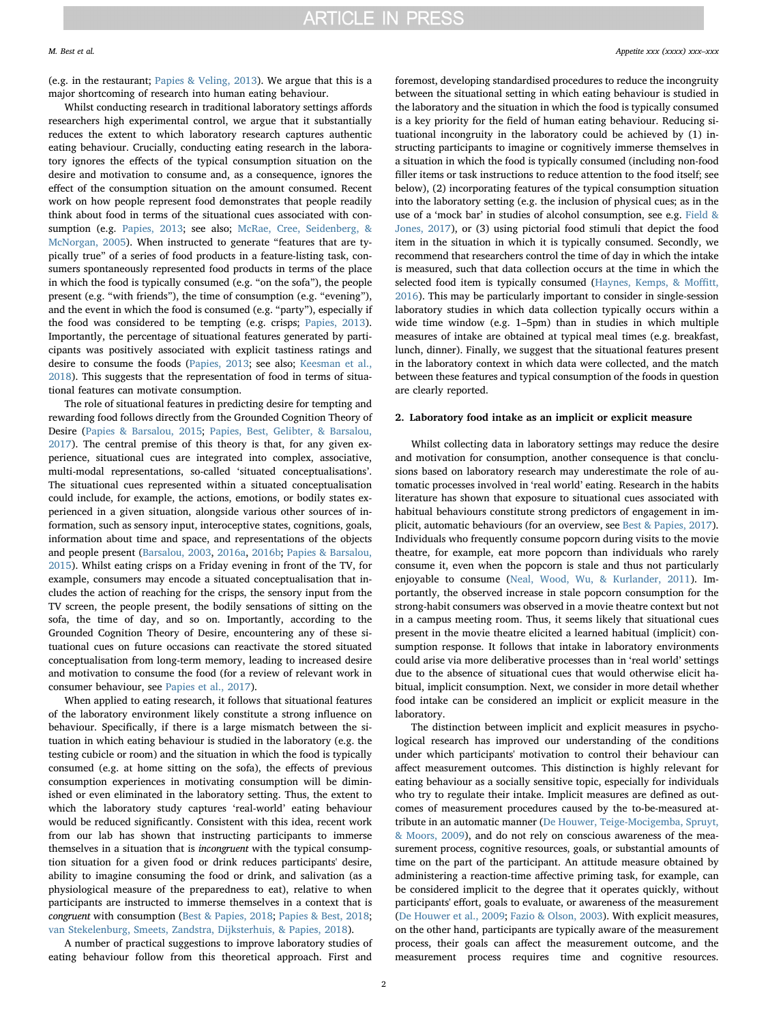(e.g. in the restaurant; [Papies & Veling, 2013](#page-4-6)). We argue that this is a major shortcoming of research into human eating behaviour.

Whilst conducting research in traditional laboratory settings affords researchers high experimental control, we argue that it substantially reduces the extent to which laboratory research captures authentic eating behaviour. Crucially, conducting eating research in the laboratory ignores the effects of the typical consumption situation on the desire and motivation to consume and, as a consequence, ignores the effect of the consumption situation on the amount consumed. Recent work on how people represent food demonstrates that people readily think about food in terms of the situational cues associated with consumption (e.g. [Papies, 2013](#page-4-7); see also; [McRae, Cree, Seidenberg, &](#page-4-8) [McNorgan, 2005\)](#page-4-8). When instructed to generate "features that are typically true" of a series of food products in a feature-listing task, consumers spontaneously represented food products in terms of the place in which the food is typically consumed (e.g. "on the sofa"), the people present (e.g. "with friends"), the time of consumption (e.g. "evening"), and the event in which the food is consumed (e.g. "party"), especially if the food was considered to be tempting (e.g. crisps; [Papies, 2013](#page-4-7)). Importantly, the percentage of situational features generated by participants was positively associated with explicit tastiness ratings and desire to consume the foods ([Papies, 2013](#page-4-7); see also; [Keesman et al.,](#page-4-9) [2018\)](#page-4-9). This suggests that the representation of food in terms of situational features can motivate consumption.

The role of situational features in predicting desire for tempting and rewarding food follows directly from the Grounded Cognition Theory of Desire ([Papies & Barsalou, 2015;](#page-4-10) [Papies, Best, Gelibter, & Barsalou,](#page-4-11) [2017\)](#page-4-11). The central premise of this theory is that, for any given experience, situational cues are integrated into complex, associative, multi-modal representations, so-called 'situated conceptualisations'. The situational cues represented within a situated conceptualisation could include, for example, the actions, emotions, or bodily states experienced in a given situation, alongside various other sources of information, such as sensory input, interoceptive states, cognitions, goals, information about time and space, and representations of the objects and people present ([Barsalou, 2003,](#page-3-0) [2016a,](#page-3-1) [2016b;](#page-3-2) [Papies & Barsalou,](#page-4-10) [2015\)](#page-4-10). Whilst eating crisps on a Friday evening in front of the TV, for example, consumers may encode a situated conceptualisation that includes the action of reaching for the crisps, the sensory input from the TV screen, the people present, the bodily sensations of sitting on the sofa, the time of day, and so on. Importantly, according to the Grounded Cognition Theory of Desire, encountering any of these situational cues on future occasions can reactivate the stored situated conceptualisation from long-term memory, leading to increased desire and motivation to consume the food (for a review of relevant work in consumer behaviour, see [Papies et al., 2017\)](#page-4-11).

When applied to eating research, it follows that situational features of the laboratory environment likely constitute a strong influence on behaviour. Specifically, if there is a large mismatch between the situation in which eating behaviour is studied in the laboratory (e.g. the testing cubicle or room) and the situation in which the food is typically consumed (e.g. at home sitting on the sofa), the effects of previous consumption experiences in motivating consumption will be diminished or even eliminated in the laboratory setting. Thus, the extent to which the laboratory study captures 'real-world' eating behaviour would be reduced significantly. Consistent with this idea, recent work from our lab has shown that instructing participants to immerse themselves in a situation that is incongruent with the typical consumption situation for a given food or drink reduces participants' desire, ability to imagine consuming the food or drink, and salivation (as a physiological measure of the preparedness to eat), relative to when participants are instructed to immerse themselves in a context that is congruent with consumption ([Best & Papies, 2018;](#page-4-12) [Papies & Best, 2018](#page-4-13); [van Stekelenburg, Smeets, Zandstra, Dijksterhuis, & Papies, 2018\)](#page-4-14).

A number of practical suggestions to improve laboratory studies of eating behaviour follow from this theoretical approach. First and

foremost, developing standardised procedures to reduce the incongruity between the situational setting in which eating behaviour is studied in the laboratory and the situation in which the food is typically consumed is a key priority for the field of human eating behaviour. Reducing situational incongruity in the laboratory could be achieved by (1) instructing participants to imagine or cognitively immerse themselves in a situation in which the food is typically consumed (including non-food filler items or task instructions to reduce attention to the food itself; see below), (2) incorporating features of the typical consumption situation into the laboratory setting (e.g. the inclusion of physical cues; as in the use of a 'mock bar' in studies of alcohol consumption, see e.g. [Field &](#page-4-15) [Jones, 2017\)](#page-4-15), or (3) using pictorial food stimuli that depict the food item in the situation in which it is typically consumed. Secondly, we recommend that researchers control the time of day in which the intake is measured, such that data collection occurs at the time in which the selected food item is typically consumed ([Haynes, Kemps, & Mo](#page-4-16)ffitt, [2016\)](#page-4-16). This may be particularly important to consider in single-session laboratory studies in which data collection typically occurs within a wide time window (e.g. 1–5pm) than in studies in which multiple measures of intake are obtained at typical meal times (e.g. breakfast, lunch, dinner). Finally, we suggest that the situational features present in the laboratory context in which data were collected, and the match between these features and typical consumption of the foods in question are clearly reported.

#### 2. Laboratory food intake as an implicit or explicit measure

Whilst collecting data in laboratory settings may reduce the desire and motivation for consumption, another consequence is that conclusions based on laboratory research may underestimate the role of automatic processes involved in 'real world' eating. Research in the habits literature has shown that exposure to situational cues associated with habitual behaviours constitute strong predictors of engagement in implicit, automatic behaviours (for an overview, see [Best & Papies, 2017](#page-4-17)). Individuals who frequently consume popcorn during visits to the movie theatre, for example, eat more popcorn than individuals who rarely consume it, even when the popcorn is stale and thus not particularly enjoyable to consume ([Neal, Wood, Wu, & Kurlander, 2011\)](#page-4-18). Importantly, the observed increase in stale popcorn consumption for the strong-habit consumers was observed in a movie theatre context but not in a campus meeting room. Thus, it seems likely that situational cues present in the movie theatre elicited a learned habitual (implicit) consumption response. It follows that intake in laboratory environments could arise via more deliberative processes than in 'real world' settings due to the absence of situational cues that would otherwise elicit habitual, implicit consumption. Next, we consider in more detail whether food intake can be considered an implicit or explicit measure in the laboratory.

The distinction between implicit and explicit measures in psychological research has improved our understanding of the conditions under which participants' motivation to control their behaviour can affect measurement outcomes. This distinction is highly relevant for eating behaviour as a socially sensitive topic, especially for individuals who try to regulate their intake. Implicit measures are defined as outcomes of measurement procedures caused by the to-be-measured attribute in an automatic manner ([De Houwer, Teige-Mocigemba, Spruyt,](#page-4-19) [& Moors, 2009](#page-4-19)), and do not rely on conscious awareness of the measurement process, cognitive resources, goals, or substantial amounts of time on the part of the participant. An attitude measure obtained by administering a reaction-time affective priming task, for example, can be considered implicit to the degree that it operates quickly, without participants' effort, goals to evaluate, or awareness of the measurement ([De Houwer et al., 2009;](#page-4-19) [Fazio & Olson, 2003\)](#page-4-20). With explicit measures, on the other hand, participants are typically aware of the measurement process, their goals can affect the measurement outcome, and the measurement process requires time and cognitive resources.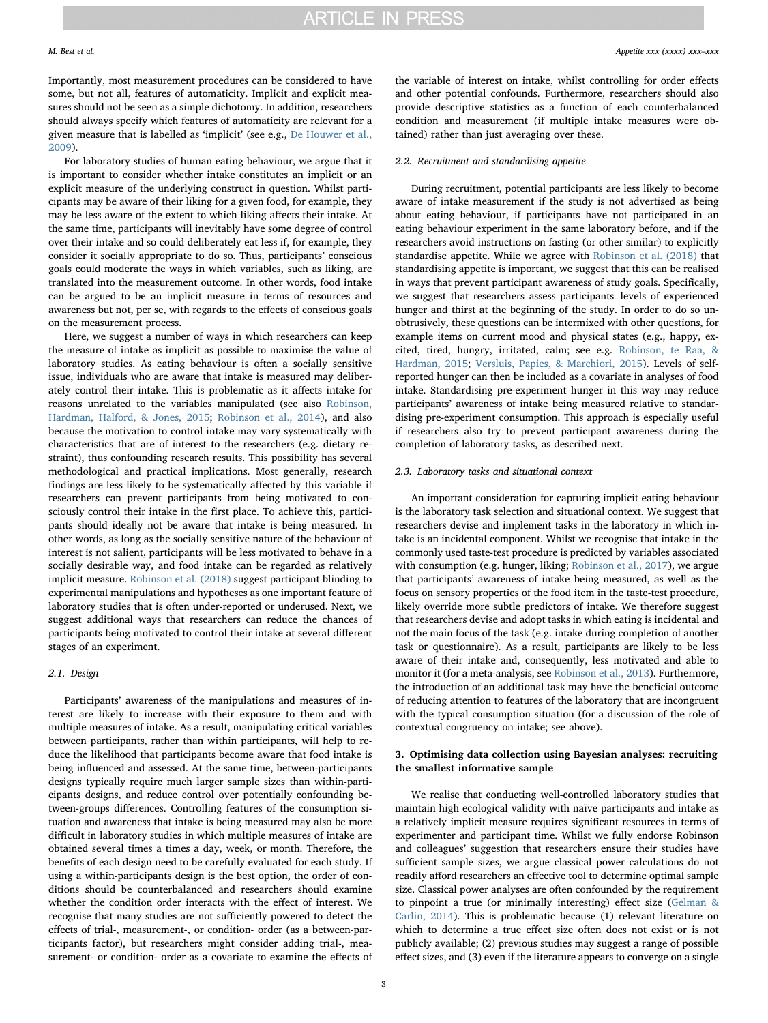Importantly, most measurement procedures can be considered to have some, but not all, features of automaticity. Implicit and explicit measures should not be seen as a simple dichotomy. In addition, researchers should always specify which features of automaticity are relevant for a given measure that is labelled as 'implicit' (see e.g., [De Houwer et al.,](#page-4-19) [2009\)](#page-4-19).

For laboratory studies of human eating behaviour, we argue that it is important to consider whether intake constitutes an implicit or an explicit measure of the underlying construct in question. Whilst participants may be aware of their liking for a given food, for example, they may be less aware of the extent to which liking affects their intake. At the same time, participants will inevitably have some degree of control over their intake and so could deliberately eat less if, for example, they consider it socially appropriate to do so. Thus, participants' conscious goals could moderate the ways in which variables, such as liking, are translated into the measurement outcome. In other words, food intake can be argued to be an implicit measure in terms of resources and awareness but not, per se, with regards to the effects of conscious goals on the measurement process.

Here, we suggest a number of ways in which researchers can keep the measure of intake as implicit as possible to maximise the value of laboratory studies. As eating behaviour is often a socially sensitive issue, individuals who are aware that intake is measured may deliberately control their intake. This is problematic as it affects intake for reasons unrelated to the variables manipulated (see also [Robinson,](#page-4-2) [Hardman, Halford, & Jones, 2015;](#page-4-2) [Robinson et al., 2014\)](#page-4-3), and also because the motivation to control intake may vary systematically with characteristics that are of interest to the researchers (e.g. dietary restraint), thus confounding research results. This possibility has several methodological and practical implications. Most generally, research findings are less likely to be systematically affected by this variable if researchers can prevent participants from being motivated to consciously control their intake in the first place. To achieve this, participants should ideally not be aware that intake is being measured. In other words, as long as the socially sensitive nature of the behaviour of interest is not salient, participants will be less motivated to behave in a socially desirable way, and food intake can be regarded as relatively implicit measure. [Robinson et al. \(2018\)](#page-4-0) suggest participant blinding to experimental manipulations and hypotheses as one important feature of laboratory studies that is often under-reported or underused. Next, we suggest additional ways that researchers can reduce the chances of participants being motivated to control their intake at several different stages of an experiment.

#### 2.1. Design

Participants' awareness of the manipulations and measures of interest are likely to increase with their exposure to them and with multiple measures of intake. As a result, manipulating critical variables between participants, rather than within participants, will help to reduce the likelihood that participants become aware that food intake is being influenced and assessed. At the same time, between-participants designs typically require much larger sample sizes than within-participants designs, and reduce control over potentially confounding between-groups differences. Controlling features of the consumption situation and awareness that intake is being measured may also be more difficult in laboratory studies in which multiple measures of intake are obtained several times a times a day, week, or month. Therefore, the benefits of each design need to be carefully evaluated for each study. If using a within-participants design is the best option, the order of conditions should be counterbalanced and researchers should examine whether the condition order interacts with the effect of interest. We recognise that many studies are not sufficiently powered to detect the effects of trial-, measurement-, or condition- order (as a between-participants factor), but researchers might consider adding trial-, measurement- or condition- order as a covariate to examine the effects of the variable of interest on intake, whilst controlling for order effects and other potential confounds. Furthermore, researchers should also provide descriptive statistics as a function of each counterbalanced condition and measurement (if multiple intake measures were obtained) rather than just averaging over these.

#### 2.2. Recruitment and standardising appetite

During recruitment, potential participants are less likely to become aware of intake measurement if the study is not advertised as being about eating behaviour, if participants have not participated in an eating behaviour experiment in the same laboratory before, and if the researchers avoid instructions on fasting (or other similar) to explicitly standardise appetite. While we agree with [Robinson et al. \(2018\)](#page-4-0) that standardising appetite is important, we suggest that this can be realised in ways that prevent participant awareness of study goals. Specifically, we suggest that researchers assess participants' levels of experienced hunger and thirst at the beginning of the study. In order to do so unobtrusively, these questions can be intermixed with other questions, for example items on current mood and physical states (e.g., happy, excited, tired, hungry, irritated, calm; see e.g. [Robinson, te Raa, &](#page-4-21) [Hardman, 2015](#page-4-21); [Versluis, Papies, & Marchiori, 2015\)](#page-4-22). Levels of selfreported hunger can then be included as a covariate in analyses of food intake. Standardising pre-experiment hunger in this way may reduce participants' awareness of intake being measured relative to standardising pre-experiment consumption. This approach is especially useful if researchers also try to prevent participant awareness during the completion of laboratory tasks, as described next.

#### 2.3. Laboratory tasks and situational context

An important consideration for capturing implicit eating behaviour is the laboratory task selection and situational context. We suggest that researchers devise and implement tasks in the laboratory in which intake is an incidental component. Whilst we recognise that intake in the commonly used taste-test procedure is predicted by variables associated with consumption (e.g. hunger, liking; [Robinson et al., 2017](#page-4-23)), we argue that participants' awareness of intake being measured, as well as the focus on sensory properties of the food item in the taste-test procedure, likely override more subtle predictors of intake. We therefore suggest that researchers devise and adopt tasks in which eating is incidental and not the main focus of the task (e.g. intake during completion of another task or questionnaire). As a result, participants are likely to be less aware of their intake and, consequently, less motivated and able to monitor it (for a meta-analysis, see [Robinson et al., 2013\)](#page-4-24). Furthermore, the introduction of an additional task may have the beneficial outcome of reducing attention to features of the laboratory that are incongruent with the typical consumption situation (for a discussion of the role of contextual congruency on intake; see above).

### 3. Optimising data collection using Bayesian analyses: recruiting the smallest informative sample

We realise that conducting well-controlled laboratory studies that maintain high ecological validity with naïve participants and intake as a relatively implicit measure requires significant resources in terms of experimenter and participant time. Whilst we fully endorse Robinson and colleagues' suggestion that researchers ensure their studies have sufficient sample sizes, we argue classical power calculations do not readily afford researchers an effective tool to determine optimal sample size. Classical power analyses are often confounded by the requirement to pinpoint a true (or minimally interesting) effect size ([Gelman &](#page-4-25) [Carlin, 2014\)](#page-4-25). This is problematic because (1) relevant literature on which to determine a true effect size often does not exist or is not publicly available; (2) previous studies may suggest a range of possible effect sizes, and (3) even if the literature appears to converge on a single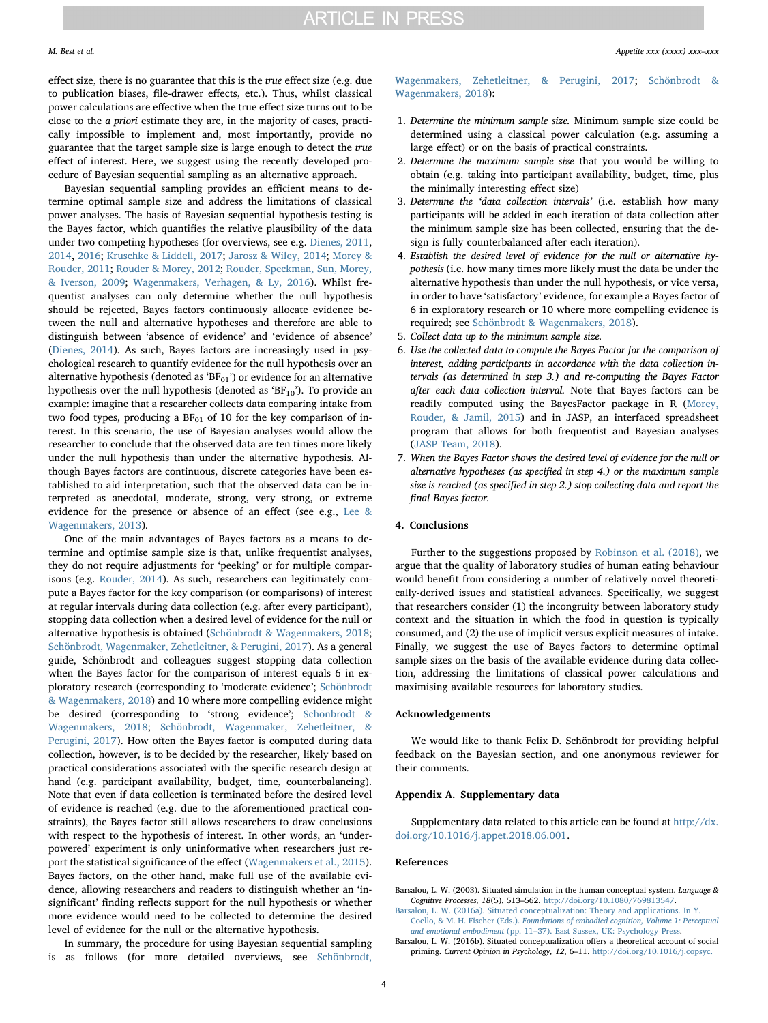effect size, there is no guarantee that this is the true effect size (e.g. due to publication biases, file-drawer effects, etc.). Thus, whilst classical power calculations are effective when the true effect size turns out to be close to the a priori estimate they are, in the majority of cases, practically impossible to implement and, most importantly, provide no guarantee that the target sample size is large enough to detect the true effect of interest. Here, we suggest using the recently developed procedure of Bayesian sequential sampling as an alternative approach.

Bayesian sequential sampling provides an efficient means to determine optimal sample size and address the limitations of classical power analyses. The basis of Bayesian sequential hypothesis testing is the Bayes factor, which quantifies the relative plausibility of the data under two competing hypotheses (for overviews, see e.g. [Dienes, 2011](#page-4-26), [2014,](#page-4-27) [2016](#page-4-28); [Kruschke & Liddell, 2017;](#page-4-29) [Jarosz & Wiley, 2014](#page-4-30); [Morey &](#page-4-31) [Rouder, 2011;](#page-4-31) [Rouder & Morey, 2012](#page-4-32); [Rouder, Speckman, Sun, Morey,](#page-4-33) [& Iverson, 2009](#page-4-33); [Wagenmakers, Verhagen, & Ly, 2016\)](#page-4-34). Whilst frequentist analyses can only determine whether the null hypothesis should be rejected, Bayes factors continuously allocate evidence between the null and alternative hypotheses and therefore are able to distinguish between 'absence of evidence' and 'evidence of absence' ([Dienes, 2014\)](#page-4-27). As such, Bayes factors are increasingly used in psychological research to quantify evidence for the null hypothesis over an alternative hypothesis (denoted as ' $BF_{01}$ ') or evidence for an alternative hypothesis over the null hypothesis (denoted as ' $BF_{10}$ '). To provide an example: imagine that a researcher collects data comparing intake from two food types, producing a  $BF<sub>01</sub>$  of 10 for the key comparison of interest. In this scenario, the use of Bayesian analyses would allow the researcher to conclude that the observed data are ten times more likely under the null hypothesis than under the alternative hypothesis. Although Bayes factors are continuous, discrete categories have been established to aid interpretation, such that the observed data can be interpreted as anecdotal, moderate, strong, very strong, or extreme evidence for the presence or absence of an effect (see e.g., [Lee &](#page-4-35) [Wagenmakers, 2013\)](#page-4-35).

One of the main advantages of Bayes factors as a means to determine and optimise sample size is that, unlike frequentist analyses, they do not require adjustments for 'peeking' or for multiple comparisons (e.g. [Rouder, 2014](#page-4-36)). As such, researchers can legitimately compute a Bayes factor for the key comparison (or comparisons) of interest at regular intervals during data collection (e.g. after every participant), stopping data collection when a desired level of evidence for the null or alternative hypothesis is obtained [\(Schönbrodt & Wagenmakers, 2018](#page-4-37); [Schönbrodt, Wagenmaker, Zehetleitner, & Perugini, 2017\)](#page-4-38). As a general guide, Schönbrodt and colleagues suggest stopping data collection when the Bayes factor for the comparison of interest equals 6 in exploratory research (corresponding to 'moderate evidence'; [Schönbrodt](#page-4-37) [& Wagenmakers, 2018](#page-4-37)) and 10 where more compelling evidence might be desired (corresponding to 'strong evidence'; [Schönbrodt &](#page-4-37) [Wagenmakers, 2018;](#page-4-37) [Schönbrodt, Wagenmaker, Zehetleitner, &](#page-4-38) [Perugini, 2017\)](#page-4-38). How often the Bayes factor is computed during data collection, however, is to be decided by the researcher, likely based on practical considerations associated with the specific research design at hand (e.g. participant availability, budget, time, counterbalancing). Note that even if data collection is terminated before the desired level of evidence is reached (e.g. due to the aforementioned practical constraints), the Bayes factor still allows researchers to draw conclusions with respect to the hypothesis of interest. In other words, an 'underpowered' experiment is only uninformative when researchers just report the statistical significance of the effect ([Wagenmakers et al., 2015](#page-4-39)). Bayes factors, on the other hand, make full use of the available evidence, allowing researchers and readers to distinguish whether an 'insignificant' finding reflects support for the null hypothesis or whether more evidence would need to be collected to determine the desired level of evidence for the null or the alternative hypothesis.

In summary, the procedure for using Bayesian sequential sampling is as follows (for more detailed overviews, see [Schönbrodt,](#page-4-38)

[Wagenmakers, Zehetleitner, & Perugini, 2017](#page-4-38); [Schönbrodt &](#page-4-37) [Wagenmakers, 2018\)](#page-4-37):

- 1. Determine the minimum sample size. Minimum sample size could be determined using a classical power calculation (e.g. assuming a large effect) or on the basis of practical constraints.
- 2. Determine the maximum sample size that you would be willing to obtain (e.g. taking into participant availability, budget, time, plus the minimally interesting effect size)
- 3. Determine the 'data collection intervals' (i.e. establish how many participants will be added in each iteration of data collection after the minimum sample size has been collected, ensuring that the design is fully counterbalanced after each iteration).
- 4. Establish the desired level of evidence for the null or alternative hypothesis (i.e. how many times more likely must the data be under the alternative hypothesis than under the null hypothesis, or vice versa, in order to have 'satisfactory' evidence, for example a Bayes factor of 6 in exploratory research or 10 where more compelling evidence is required; see [Schönbrodt & Wagenmakers, 2018](#page-4-37)).
- 5. Collect data up to the minimum sample size.
- 6. Use the collected data to compute the Bayes Factor for the comparison of interest, adding participants in accordance with the data collection intervals (as determined in step 3.) and re-computing the Bayes Factor after each data collection interval. Note that Bayes factors can be readily computed using the BayesFactor package in R ([Morey,](#page-4-40) [Rouder, & Jamil, 2015\)](#page-4-40) and in JASP, an interfaced spreadsheet program that allows for both frequentist and Bayesian analyses [\(JASP Team, 2018](#page-4-41)).
- 7. When the Bayes Factor shows the desired level of evidence for the null or alternative hypotheses (as specified in step 4.) or the maximum sample size is reached (as specified in step 2.) stop collecting data and report the final Bayes factor.

#### 4. Conclusions

Further to the suggestions proposed by [Robinson et al. \(2018\)](#page-4-0), we argue that the quality of laboratory studies of human eating behaviour would benefit from considering a number of relatively novel theoretically-derived issues and statistical advances. Specifically, we suggest that researchers consider (1) the incongruity between laboratory study context and the situation in which the food in question is typically consumed, and (2) the use of implicit versus explicit measures of intake. Finally, we suggest the use of Bayes factors to determine optimal sample sizes on the basis of the available evidence during data collection, addressing the limitations of classical power calculations and maximising available resources for laboratory studies.

#### Acknowledgements

We would like to thank Felix D. Schönbrodt for providing helpful feedback on the Bayesian section, and one anonymous reviewer for their comments.

### Appendix A. Supplementary data

Supplementary data related to this article can be found at  $\frac{http://dx.}{$  $\frac{http://dx.}{$  $\frac{http://dx.}{$ [doi.org/10.1016/j.appet.2018.06.001.](http://dx.doi.org/10.1016/j.appet.2018.06.001)

#### References

<span id="page-3-0"></span>Barsalou, L. W. (2003). Situated simulation in the human conceptual system. Language & Cognitive Processes, 18(5), 513–562. <http://doi.org/10.1080/769813547>.

- <span id="page-3-1"></span>[Barsalou, L. W. \(2016a\). Situated conceptualization: Theory and applications. In Y.](http://refhub.elsevier.com/S0195-6663(18)30577-4/sref2) Coello, & M. H. Fischer (Eds.). [Foundations of embodied cognition, Volume 1: Perceptual](http://refhub.elsevier.com/S0195-6663(18)30577-4/sref2) and emotional embodiment (pp. 11–[37\). East Sussex, UK: Psychology Press](http://refhub.elsevier.com/S0195-6663(18)30577-4/sref2).
- <span id="page-3-2"></span>Barsalou, L. W. (2016b). Situated conceptualization offers a theoretical account of social priming. Current Opinion in Psychology, 12, 6–11. [http://doi.org/10.1016/j.copsyc.](http://doi.org/10.1016/j.copsyc.2016.04.009)